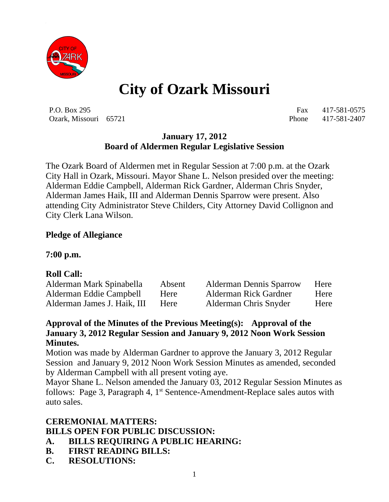

# **City of Ozark Missouri**

P.O. Box 295 Fax 417-581-0575 Ozark, Missouri 65721 Phone 417-581-2407

# **January 17, 2012 Board of Aldermen Regular Legislative Session**

The Ozark Board of Aldermen met in Regular Session at 7:00 p.m. at the Ozark City Hall in Ozark, Missouri. Mayor Shane L. Nelson presided over the meeting: Alderman Eddie Campbell, Alderman Rick Gardner, Alderman Chris Snyder, Alderman James Haik, III and Alderman Dennis Sparrow were present. Also attending City Administrator Steve Childers, City Attorney David Collignon and City Clerk Lana Wilson.

# **Pledge of Allegiance**

**7:00 p.m.**

# **Roll Call:**

| Alderman Mark Spinabella    | Absent | <b>Alderman Dennis Sparrow</b> | Here |
|-----------------------------|--------|--------------------------------|------|
| Alderman Eddie Campbell     | Here   | Alderman Rick Gardner          | Here |
| Alderman James J. Haik, III | Here   | Alderman Chris Snyder          | Here |

#### **Approval of the Minutes of the Previous Meeting(s): Approval of the January 3, 2012 Regular Session and January 9, 2012 Noon Work Session Minutes.**

Motion was made by Alderman Gardner to approve the January 3, 2012 Regular Session and January 9, 2012 Noon Work Session Minutes as amended, seconded by Alderman Campbell with all present voting aye.

Mayor Shane L. Nelson amended the January 03, 2012 Regular Session Minutes as follows: Page 3, Paragraph 4, 1<sup>st</sup> Sentence-Amendment-Replace sales autos with auto sales.

# **CEREMONIAL MATTERS: BILLS OPEN FOR PUBLIC DISCUSSION:**

- **A. BILLS REQUIRING A PUBLIC HEARING:**
- **B. FIRST READING BILLS:**
- **C. RESOLUTIONS:**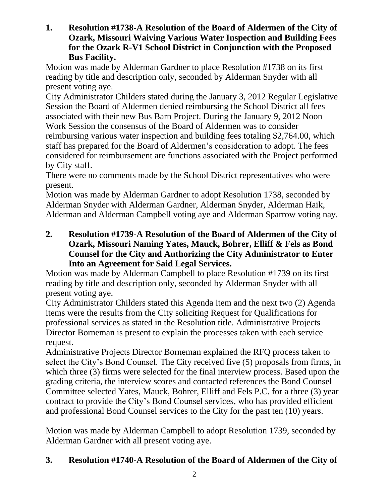**1. Resolution #1738-A Resolution of the Board of Aldermen of the City of Ozark, Missouri Waiving Various Water Inspection and Building Fees for the Ozark R-V1 School District in Conjunction with the Proposed Bus Facility.**

Motion was made by Alderman Gardner to place Resolution #1738 on its first reading by title and description only, seconded by Alderman Snyder with all present voting aye.

City Administrator Childers stated during the January 3, 2012 Regular Legislative Session the Board of Aldermen denied reimbursing the School District all fees associated with their new Bus Barn Project. During the January 9, 2012 Noon Work Session the consensus of the Board of Aldermen was to consider reimbursing various water inspection and building fees totaling \$2,764.00, which staff has prepared for the Board of Aldermen's consideration to adopt. The fees considered for reimbursement are functions associated with the Project performed by City staff.

There were no comments made by the School District representatives who were present.

Motion was made by Alderman Gardner to adopt Resolution 1738, seconded by Alderman Snyder with Alderman Gardner, Alderman Snyder, Alderman Haik, Alderman and Alderman Campbell voting aye and Alderman Sparrow voting nay.

**2. Resolution #1739-A Resolution of the Board of Aldermen of the City of Ozark, Missouri Naming Yates, Mauck, Bohrer, Elliff & Fels as Bond Counsel for the City and Authorizing the City Administrator to Enter Into an Agreement for Said Legal Services.**

Motion was made by Alderman Campbell to place Resolution #1739 on its first reading by title and description only, seconded by Alderman Snyder with all present voting aye.

City Administrator Childers stated this Agenda item and the next two (2) Agenda items were the results from the City soliciting Request for Qualifications for professional services as stated in the Resolution title. Administrative Projects Director Borneman is present to explain the processes taken with each service request.

Administrative Projects Director Borneman explained the RFQ process taken to select the City's Bond Counsel. The City received five (5) proposals from firms, in which three (3) firms were selected for the final interview process. Based upon the grading criteria, the interview scores and contacted references the Bond Counsel Committee selected Yates, Mauck, Bohrer, Elliff and Fels P.C. for a three (3) year contract to provide the City's Bond Counsel services, who has provided efficient and professional Bond Counsel services to the City for the past ten (10) years.

Motion was made by Alderman Campbell to adopt Resolution 1739, seconded by Alderman Gardner with all present voting aye.

# **3. Resolution #1740-A Resolution of the Board of Aldermen of the City of**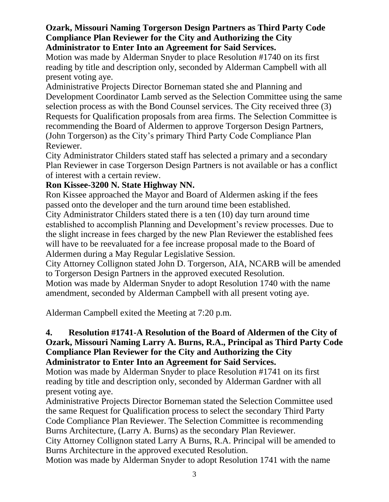#### **Ozark, Missouri Naming Torgerson Design Partners as Third Party Code Compliance Plan Reviewer for the City and Authorizing the City Administrator to Enter Into an Agreement for Said Services.**

Motion was made by Alderman Snyder to place Resolution #1740 on its first reading by title and description only, seconded by Alderman Campbell with all present voting aye.

Administrative Projects Director Borneman stated she and Planning and Development Coordinator Lamb served as the Selection Committee using the same selection process as with the Bond Counsel services. The City received three (3) Requests for Qualification proposals from area firms. The Selection Committee is recommending the Board of Aldermen to approve Torgerson Design Partners, (John Torgerson) as the City's primary Third Party Code Compliance Plan Reviewer.

City Administrator Childers stated staff has selected a primary and a secondary Plan Reviewer in case Torgerson Design Partners is not available or has a conflict of interest with a certain review.

# **Ron Kissee-3200 N. State Highway NN.**

Ron Kissee approached the Mayor and Board of Aldermen asking if the fees passed onto the developer and the turn around time been established.

City Administrator Childers stated there is a ten (10) day turn around time established to accomplish Planning and Development's review processes. Due to the slight increase in fees charged by the new Plan Reviewer the established fees will have to be reevaluated for a fee increase proposal made to the Board of Aldermen during a May Regular Legislative Session.

City Attorney Collignon stated John D. Torgerson, AIA, NCARB will be amended to Torgerson Design Partners in the approved executed Resolution.

Motion was made by Alderman Snyder to adopt Resolution 1740 with the name amendment, seconded by Alderman Campbell with all present voting aye.

Alderman Campbell exited the Meeting at 7:20 p.m.

#### **4. Resolution #1741-A Resolution of the Board of Aldermen of the City of Ozark, Missouri Naming Larry A. Burns, R.A., Principal as Third Party Code Compliance Plan Reviewer for the City and Authorizing the City Administrator to Enter Into an Agreement for Said Services.**

Motion was made by Alderman Snyder to place Resolution #1741 on its first reading by title and description only, seconded by Alderman Gardner with all present voting aye.

Administrative Projects Director Borneman stated the Selection Committee used the same Request for Qualification process to select the secondary Third Party Code Compliance Plan Reviewer. The Selection Committee is recommending Burns Architecture, (Larry A. Burns) as the secondary Plan Reviewer.

City Attorney Collignon stated Larry A Burns, R.A. Principal will be amended to Burns Architecture in the approved executed Resolution.

Motion was made by Alderman Snyder to adopt Resolution 1741 with the name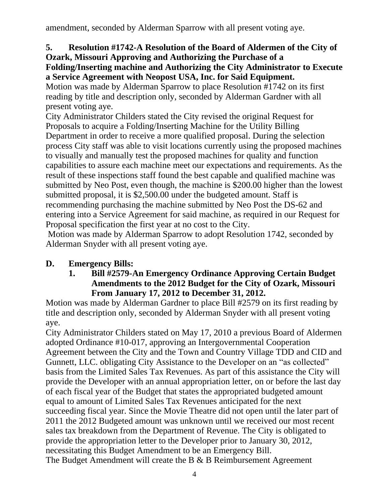amendment, seconded by Alderman Sparrow with all present voting aye.

# **5. Resolution #1742-A Resolution of the Board of Aldermen of the City of Ozark, Missouri Approving and Authorizing the Purchase of a**

#### **Folding/Inserting machine and Authorizing the City Administrator to Execute a Service Agreement with Neopost USA, Inc. for Said Equipment.**

Motion was made by Alderman Sparrow to place Resolution #1742 on its first reading by title and description only, seconded by Alderman Gardner with all present voting aye.

City Administrator Childers stated the City revised the original Request for Proposals to acquire a Folding/Inserting Machine for the Utility Billing Department in order to receive a more qualified proposal. During the selection process City staff was able to visit locations currently using the proposed machines to visually and manually test the proposed machines for quality and function capabilities to assure each machine meet our expectations and requirements. As the result of these inspections staff found the best capable and qualified machine was submitted by Neo Post, even though, the machine is \$200.00 higher than the lowest submitted proposal, it is \$2,500.00 under the budgeted amount. Staff is recommending purchasing the machine submitted by Neo Post the DS-62 and entering into a Service Agreement for said machine, as required in our Request for Proposal specification the first year at no cost to the City.

Motion was made by Alderman Sparrow to adopt Resolution 1742, seconded by Alderman Snyder with all present voting aye.

# **D. Emergency Bills:**

#### **1. Bill #2579-An Emergency Ordinance Approving Certain Budget Amendments to the 2012 Budget for the City of Ozark, Missouri From January 17, 2012 to December 31, 2012.**

Motion was made by Alderman Gardner to place Bill #2579 on its first reading by title and description only, seconded by Alderman Snyder with all present voting aye.

City Administrator Childers stated on May 17, 2010 a previous Board of Aldermen adopted Ordinance #10-017, approving an Intergovernmental Cooperation Agreement between the City and the Town and Country Village TDD and CID and Gunnett, LLC. obligating City Assistance to the Developer on an "as collected" basis from the Limited Sales Tax Revenues. As part of this assistance the City will provide the Developer with an annual appropriation letter, on or before the last day of each fiscal year of the Budget that states the appropriated budgeted amount equal to amount of Limited Sales Tax Revenues anticipated for the next succeeding fiscal year. Since the Movie Theatre did not open until the later part of 2011 the 2012 Budgeted amount was unknown until we received our most recent sales tax breakdown from the Department of Revenue. The City is obligated to provide the appropriation letter to the Developer prior to January 30, 2012, necessitating this Budget Amendment to be an Emergency Bill. The Budget Amendment will create the B & B Reimbursement Agreement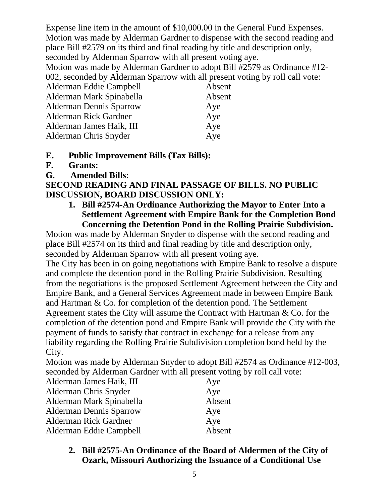Expense line item in the amount of \$10,000.00 in the General Fund Expenses. Motion was made by Alderman Gardner to dispense with the second reading and place Bill #2579 on its third and final reading by title and description only, seconded by Alderman Sparrow with all present voting aye.

Motion was made by Alderman Gardner to adopt Bill #2579 as Ordinance #12- 002, seconded by Alderman Sparrow with all present voting by roll call vote:

| Alderman Eddie Campbell        | Absent |
|--------------------------------|--------|
| Alderman Mark Spinabella       | Absent |
| <b>Alderman Dennis Sparrow</b> | Aye    |
| Alderman Rick Gardner          | Aye    |
| Alderman James Haik, III       | Aye    |
| Alderman Chris Snyder          | Aye    |
|                                |        |

#### **E. Public Improvement Bills (Tax Bills):**

- **F. Grants:**
- **G. Amended Bills:**

# **SECOND READING AND FINAL PASSAGE OF BILLS. NO PUBLIC DISCUSSION, BOARD DISCUSSION ONLY:**

**1. Bill #2574-An Ordinance Authorizing the Mayor to Enter Into a Settlement Agreement with Empire Bank for the Completion Bond Concerning the Detention Pond in the Rolling Prairie Subdivision.**

Motion was made by Alderman Snyder to dispense with the second reading and place Bill #2574 on its third and final reading by title and description only, seconded by Alderman Sparrow with all present voting aye.

The City has been in on going negotiations with Empire Bank to resolve a dispute and complete the detention pond in the Rolling Prairie Subdivision. Resulting from the negotiations is the proposed Settlement Agreement between the City and Empire Bank, and a General Services Agreement made in between Empire Bank and Hartman & Co. for completion of the detention pond. The Settlement Agreement states the City will assume the Contract with Hartman & Co. for the completion of the detention pond and Empire Bank will provide the City with the payment of funds to satisfy that contract in exchange for a release from any liability regarding the Rolling Prairie Subdivision completion bond held by the City.

Motion was made by Alderman Snyder to adopt Bill #2574 as Ordinance #12-003, seconded by Alderman Gardner with all present voting by roll call vote:

| Alderman James Haik, III       | Aye    |
|--------------------------------|--------|
| Alderman Chris Snyder          | Aye    |
| Alderman Mark Spinabella       | Absent |
| <b>Alderman Dennis Sparrow</b> | Aye    |
| <b>Alderman Rick Gardner</b>   | Aye    |
| Alderman Eddie Campbell        | Absent |

**2. Bill #2575-An Ordinance of the Board of Aldermen of the City of Ozark, Missouri Authorizing the Issuance of a Conditional Use**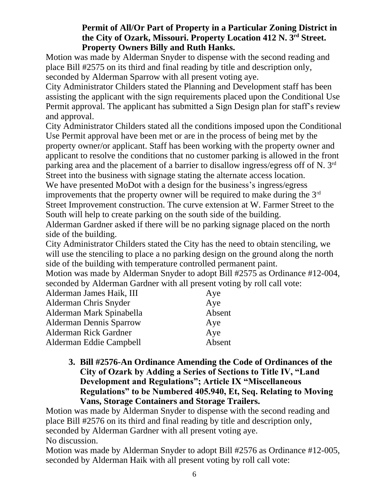#### **Permit of All/Or Part of Property in a Particular Zoning District in the City of Ozark, Missouri. Property Location 412 N. 3rd Street. Property Owners Billy and Ruth Hanks.**

Motion was made by Alderman Snyder to dispense with the second reading and place Bill #2575 on its third and final reading by title and description only, seconded by Alderman Sparrow with all present voting aye.

City Administrator Childers stated the Planning and Development staff has been assisting the applicant with the sign requirements placed upon the Conditional Use Permit approval. The applicant has submitted a Sign Design plan for staff's review and approval.

City Administrator Childers stated all the conditions imposed upon the Conditional Use Permit approval have been met or are in the process of being met by the property owner/or applicant. Staff has been working with the property owner and applicant to resolve the conditions that no customer parking is allowed in the front parking area and the placement of a barrier to disallow ingress/egress off of N. 3rd Street into the business with signage stating the alternate access location.

We have presented MoDot with a design for the business's ingress/egress improvements that the property owner will be required to make during the  $3<sup>rd</sup>$ Street Improvement construction. The curve extension at W. Farmer Street to the South will help to create parking on the south side of the building.

Alderman Gardner asked if there will be no parking signage placed on the north side of the building.

City Administrator Childers stated the City has the need to obtain stenciling, we will use the stenciling to place a no parking design on the ground along the north side of the building with temperature controlled permanent paint.

Motion was made by Alderman Snyder to adopt Bill #2575 as Ordinance #12-004, seconded by Alderman Gardner with all present voting by roll call vote:

| Alderman James Haik, III       | Aye    |
|--------------------------------|--------|
| Alderman Chris Snyder          | Aye    |
| Alderman Mark Spinabella       | Absent |
| <b>Alderman Dennis Sparrow</b> | Aye    |
| <b>Alderman Rick Gardner</b>   | Aye    |
| Alderman Eddie Campbell        | Absent |

**3. Bill #2576-An Ordinance Amending the Code of Ordinances of the City of Ozark by Adding a Series of Sections to Title IV, "Land Development and Regulations"; Article IX "Miscellaneous Regulations" to be Numbered 405.940, Et, Seq. Relating to Moving Vans, Storage Containers and Storage Trailers.**

Motion was made by Alderman Snyder to dispense with the second reading and place Bill #2576 on its third and final reading by title and description only, seconded by Alderman Gardner with all present voting aye. No discussion.

Motion was made by Alderman Snyder to adopt Bill #2576 as Ordinance #12-005, seconded by Alderman Haik with all present voting by roll call vote: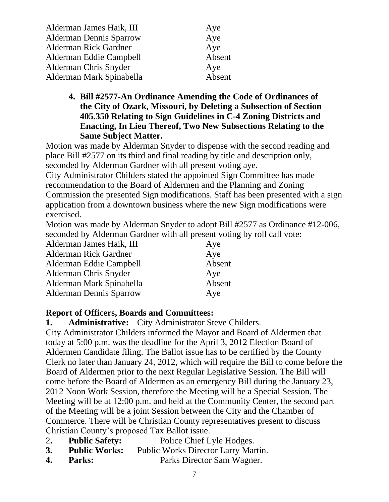| Alderman James Haik, III       | Aye    |
|--------------------------------|--------|
| <b>Alderman Dennis Sparrow</b> | Aye    |
| <b>Alderman Rick Gardner</b>   | Aye    |
| Alderman Eddie Campbell        | Absent |
| Alderman Chris Snyder          | Aye    |
| Alderman Mark Spinabella       | Absent |

**4. Bill #2577-An Ordinance Amending the Code of Ordinances of the City of Ozark, Missouri, by Deleting a Subsection of Section 405.350 Relating to Sign Guidelines in C-4 Zoning Districts and Enacting, In Lieu Thereof, Two New Subsections Relating to the Same Subject Matter.**

Motion was made by Alderman Snyder to dispense with the second reading and place Bill #2577 on its third and final reading by title and description only, seconded by Alderman Gardner with all present voting aye.

City Administrator Childers stated the appointed Sign Committee has made recommendation to the Board of Aldermen and the Planning and Zoning Commission the presented Sign modifications. Staff has been presented with a sign application from a downtown business where the new Sign modifications were exercised.

Motion was made by Alderman Snyder to adopt Bill #2577 as Ordinance #12-006, seconded by Alderman Gardner with all present voting by roll call vote:

| Alderman James Haik, III       | Aye    |
|--------------------------------|--------|
| <b>Alderman Rick Gardner</b>   | Aye    |
| Alderman Eddie Campbell        | Absent |
| Alderman Chris Snyder          | Aye    |
| Alderman Mark Spinabella       | Absent |
| <b>Alderman Dennis Sparrow</b> | Aye    |

# **Report of Officers, Boards and Committees:**

**1. Administrative:** City Administrator Steve Childers.

City Administrator Childers informed the Mayor and Board of Aldermen that today at 5:00 p.m. was the deadline for the April 3, 2012 Election Board of Aldermen Candidate filing. The Ballot issue has to be certified by the County Clerk no later than January 24, 2012, which will require the Bill to come before the Board of Aldermen prior to the next Regular Legislative Session. The Bill will come before the Board of Aldermen as an emergency Bill during the January 23, 2012 Noon Work Session, therefore the Meeting will be a Special Session. The Meeting will be at 12:00 p.m. and held at the Community Center, the second part of the Meeting will be a joint Session between the City and the Chamber of Commerce. There will be Christian County representatives present to discuss Christian County's proposed Tax Ballot issue.

- 2**. Public Safety:** Police Chief Lyle Hodges.
- **3. Public Works:** Public Works Director Larry Martin.
- **4. Parks:** Parks Director Sam Wagner.